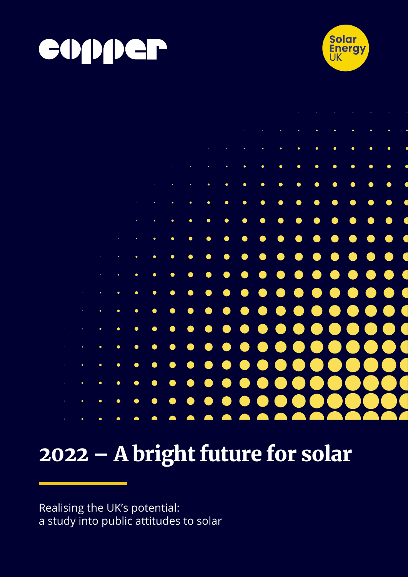





# 2022 – A bright future for solar

Realising the UK's potential: a study into public attitudes to solar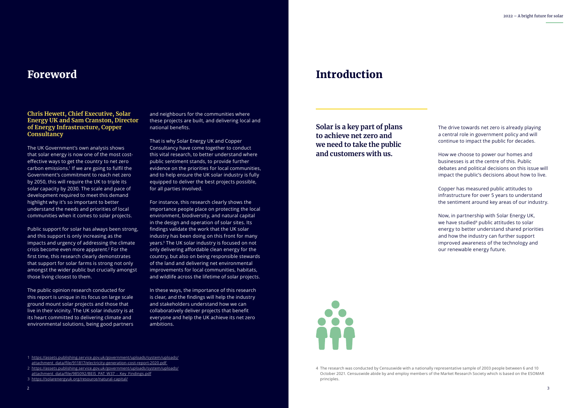#### **Chris Hewett, Chief Executive, Solar Energy UK and Sam Cranston, Director of Energy Infrastructure, Copper Consultancy**

The UK Government's own analysis shows that solar energy is now one of the most costeffective ways to get the country to net zero carbon emissions.1 If we are going to fulfil the Government's commitment to reach net zero by 2050, this will require the UK to triple its solar capacity by 2030. The scale and pace of development required to meet this demand highlight why it's so important to better understand the needs and priorities of local communities when it comes to solar projects.

Public support for solar has always been strong, and this support is only increasing as the impacts and urgency of addressing the climate crisis become even more apparent.2 For the first time, this research clearly demonstrates that support for solar farms is strong not only amongst the wider public but crucially amongst those living closest to them.

The public opinion research conducted for this report is unique in its focus on large scale ground mount solar projects and those that live in their vicinity. The UK solar industry is at its heart committed to delivering climate and environmental solutions, being good partners

and neighbours for the communities where these projects are built, and delivering local and national benefits.

That is why Solar Energy UK and Copper Consultancy have come together to conduct this vital research, to better understand where public sentiment stands, to provide further evidence on the priorities for local communities, and to help ensure the UK solar industry is fully equipped to deliver the best projects possible, for all parties involved.

For instance, this research clearly shows the importance people place on protecting the local environment, biodiversity, and natural capital in the design and operation of solar sites. Its findings validate the work that the UK solar industry has been doing on this front for many years.3 The UK solar industry is focused on not only delivering affordable clean energy for the country, but also on being responsible stewards of the land and delivering net environmental improvements for local communities, habitats, and wildlife across the lifetime of solar projects.

In these ways, the importance of this research is clear, and the findings will help the industry and stakeholders understand how we can collaboratively deliver projects that benefit everyone and help the UK achieve its net zero ambitions.

#### Foreword

**Solar is a key part of plans to achieve net zero and we need to take the public and customers with us.**

The drive towards net zero is already playing a central role in government policy and will continue to impact the public for decades.

How we choose to power our homes and businesses is at the centre of this. Public debates and political decisions on this issue will impact the public's decisions about how to live.

Copper has measured public attitudes to infrastructure for over 5 years to understand the sentiment around key areas of our industry.

Now, in partnership with Solar Energy UK, we have studied<sup>4</sup> public attitudes to solar energy to better understand shared priorities and how the industry can further support improved awareness of the technology and our renewable energy future.

#### Introduction



<sup>4</sup> The research was conducted by Censuswide with a nationally representative sample of 2003 people between 6 and 10 October 2021. Censuswide abide by and employ members of the Market Research Society which is based on the ESOMAR principles.

<sup>2</sup> [https://assets.publishing.service.gov.uk/government/uploads/system/uploads/](https://assets.publishing.service.gov.uk/government/uploads/system/uploads/attachment_data/file/985092/BEIS_PAT_W37_-_Key_Findings.pdf) [attachment\\_data/file/985092/BEIS\\_PAT\\_W37\\_-\\_Key\\_Findings.pdf](https://assets.publishing.service.gov.uk/government/uploads/system/uploads/attachment_data/file/985092/BEIS_PAT_W37_-_Key_Findings.pdf)

<sup>1</sup> [https://assets.publishing.service.gov.uk/government/uploads/system/uploads/](https://assets.publishing.service.gov.uk/government/uploads/system/uploads/attachment_data/file/911817/electricity-generation-cost-report-2020.pdf) [attachment\\_data/file/911817/electricity-generation-cost-report-2020.pdf](https://assets.publishing.service.gov.uk/government/uploads/system/uploads/attachment_data/file/911817/electricity-generation-cost-report-2020.pdf) 

<sup>3</sup> <https://solarenergyuk.org/resource/natural-capital/>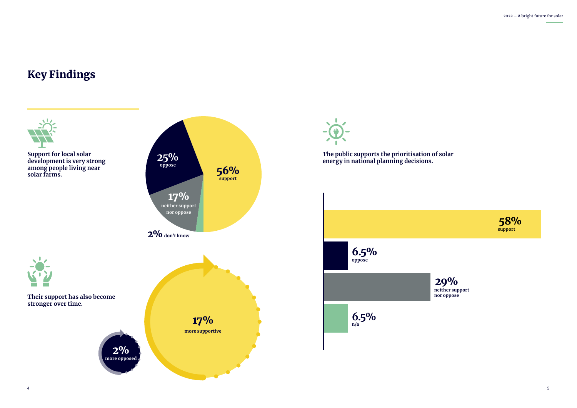### Key Findings



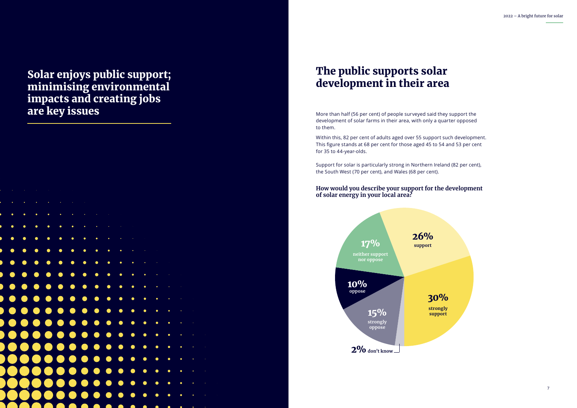Solar enjoys public support; minimising environmental impacts and creating jobs are key issues More than half (56 per cent) of people surveyed said they support the

development of solar farms in their area, with only a quarter opposed to them.

Within this, 82 per cent of adults aged over 55 support such development. This figure stands at 68 per cent for those aged 45 to 54 and 53 per cent for 35 to 44-year-olds.

Support for solar is particularly strong in Northern Ireland (82 per cent), the South West (70 per cent), and Wales (68 per cent).

### The public supports solar development in their area

#### **How would you describe your support for the development of solar energy in your local area?**



6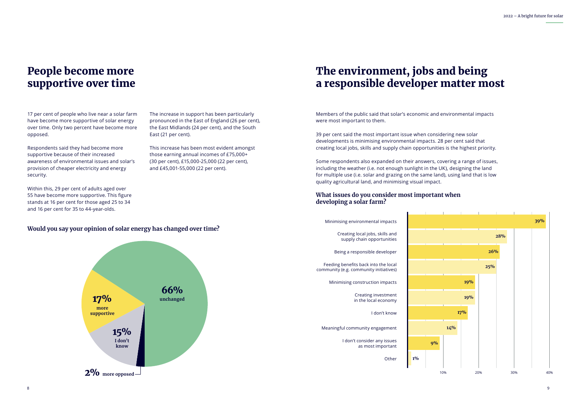

#### **Would you say your opinion of solar energy has changed over time?**

17 per cent of people who live near a solar farm have become more supportive of solar energy over time. Only two percent have become more opposed.

Respondents said they had become more supportive because of their increased awareness of environmental issues and solar's provision of cheaper electricity and energy security.

Within this, 29 per cent of adults aged over 55 have become more supportive. This figure stands at 16 per cent for those aged 25 to 34 and 16 per cent for 35 to 44-year-olds.

The increase in support has been particularly pronounced in the East of England (26 per cent), the East Midlands (24 per cent), and the South East (21 per cent).

This increase has been most evident amongst those earning annual incomes of £75,000+ (30 per cent), £15,000-25,000 (22 per cent), and £45,001-55,000 (22 per cent).

### People become more supportive over time

Members of the public said that solar's economic and environmental impacts were most important to them.

39 per cent said the most important issue when considering new solar developments is minimising environmental impacts. 28 per cent said that creating local jobs, skills and supply chain opportunities is the highest priority.

Some respondents also expanded on their answers, covering a range of issues, including the weather (i.e. not enough sunlight in the UK), designing the land for multiple use (i.e. solar and grazing on the same land), using land that is low quality agricultural land, and minimising visual impact.

## The environment, jobs and being a responsible developer matter most

#### **What issues do you consider most important when developing a solar farm?**

## 10% 20% 30% 40% Minimising environmental impacts **39% 28% 26% 25% 19% 19% 17% 14%**



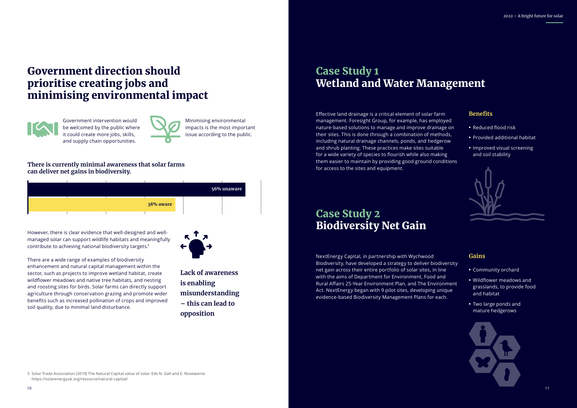

- 
- 
- 
- 
- 

### Government direction should prioritise creating jobs and minimising environmental impact



#### **There is currently minimal awareness that solar farms can deliver net gains in biodiversity.**

**Lack of awareness is enabling misunderstanding – this can lead to opposition**

Effective land drainage is a critical element of solar farm management. Foresight Group, for example, has employed nature-based solutions to manage and improve drainage on their sites. This is done through a combination of methods, including natural drainage channels, ponds, and hedgerow and shrub planting. These practices make sites suitable for a wide variety of species to flourish while also making them easier to maintain by providing good ground conditions for access to the sites and equipment.

NextEnergy Capital, in partnership with Wychwood Biodiversity, have developed a strategy to deliver biodiversity net gain across their entire portfolio of solar sites, in line with the aims of Department for Environment, Food and Rural Affairs 25-Year Environment Plan, and The Environment Act. NextEnergy began with 9 pilot sites, developing unique evidence-based Biodiversity Management Plans for each.

#### **Benefits**

- **•** Reduced flood risk
- **•** Provided additional habitat
- **•** Improved visual screening and soil stability



#### **Gains**

- **•** Community orchard
- **•** Wildflower meadows and grasslands, to provide food and habitat
- **•** Two large ponds and mature hedgerows

Government intervention would be welcomed by the public where it could create more jobs, skills, and supply chain opportunities.



However, there is clear evidence that well-designed and wellmanaged solar can support wildlife habitats and meaningfully contribute to achieving national biodiversity targets.5



There are a wide range of examples of biodiversity enhancement and natural capital management within the sector, such as projects to improve wetland habitat, create wildflower meadows and native tree habitats, and nesting and roosting sites for birds. Solar farms can directly support agriculture through conservation grazing and promote wider benefits such as increased pollination of crops and improved soil quality, due to minimal land disturbance.

### Case Study 1 Wetland and Water Management

### Case Study 2 Biodiversity Net Gain

Minimising environmental impacts is the most important issue according to the public.

5 Solar Trade Association (2019) The Natural Capital value of solar. Eds N. Gall and E. Rosewarne https://solarenergyuk.org/resource/natural-capital/

|  |           | 56% unaware |
|--|-----------|-------------|
|  | 38% aware |             |
|  |           |             |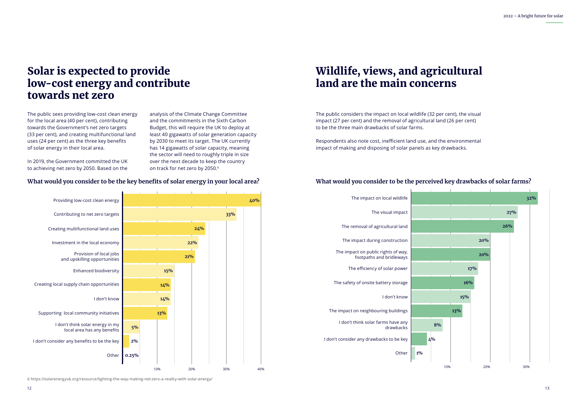### Solar is expected to provide low-cost energy and contribute towards net zero

The public sees providing low-cost clean energy for the local area (40 per cent), contributing towards the Government's net zero targets (33 per cent), and creating multifunctional land uses (24 per cent) as the three key benefits of solar energy in their local area.

In 2019, the Government committed the UK to achieving net zero by 2050. Based on the analysis of the Climate Change Committee and the commitments in the Sixth Carbon Budget, this will require the UK to deploy at least 40 gigawatts of solar generation capacity by 2030 to meet its target. [The UK currently](https://solarenergyuk.org/resource/lighting-the-way-making-net-zero-a-reality-with-solar-energy/)  [has 14 gigawatts of solar capacity, meaning](https://solarenergyuk.org/resource/lighting-the-way-making-net-zero-a-reality-with-solar-energy/)  [the sector will need to roughly triple in size](https://solarenergyuk.org/resource/lighting-the-way-making-net-zero-a-reality-with-solar-energy/)  [over the next decade to keep the country](https://solarenergyuk.org/resource/lighting-the-way-making-net-zero-a-reality-with-solar-energy/)  [on track for net zero by 2050](https://solarenergyuk.org/resource/lighting-the-way-making-net-zero-a-reality-with-solar-energy/). 6

#### **What would you consider to be the key benefits of solar energy in your local area?**



### Wildlife, views, and agricultural land are the main concerns

The public considers the impact on local wildlife (32 per cent), the visual impact (27 per cent) and the removal of agricultural land (26 per cent) to be the three main drawbacks of solar farms.

Respondents also note cost, inefficient land use, and the environmental impact of making and disposing of solar panels as key drawbacks.

#### **What would you consider to be the perceived key drawbacks of solar farms?**



6 <https://solarenergyuk.org/resource/lighting-the-way-making-net-zero-a-reality-with-solar-energy/>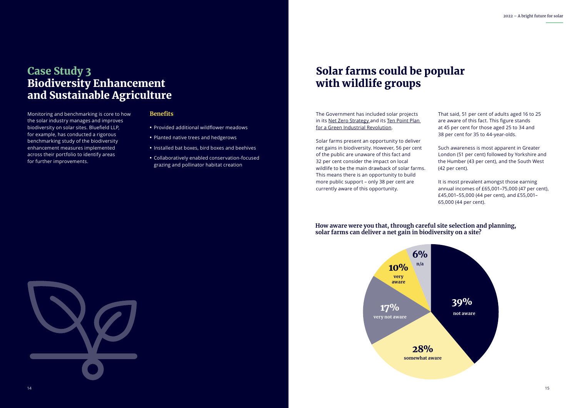### Case Study 3 Biodiversity Enhancement and Sustainable Agriculture

### Solar farms could be popular with wildlife groups

**How aware were you that, through careful site selection and planning, solar farms can deliver a net gain in biodiversity on a site?**

Monitoring and benchmarking is core to how the solar industry manages and improves biodiversity on solar sites. Bluefield LLP, for example, has conducted a rigorous benchmarking study of the biodiversity enhancement measures implemented across their portfolio to identify areas for further improvements.

The Government has included solar projects in its [Net Zero Strategy a](https://www.gov.uk/government/publications/net-zero-strategy)nd its [Ten Point Plan](https://www.gov.uk/government/publications/the-ten-point-plan-for-a-green-industrial-revolution)  [for a Green Industrial Revolution.](https://www.gov.uk/government/publications/the-ten-point-plan-for-a-green-industrial-revolution)

Solar farms present an opportunity to deliver net gains in biodiversity. However, 56 per cent of the public are unaware of this fact and 32 per cent consider the impact on local wildlife to be the main drawback of solar farms. This means there is an opportunity to build more public support – only 38 per cent are currently aware of this opportunity.

That said, 51 per cent of adults aged 16 to 25 are aware of this fact. This figure stands at 45 per cent for those aged 25 to 34 and 38 per cent for 35 to 44-year-olds.

Such awareness is most apparent in Greater London (51 per cent) followed by Yorkshire and the Humber (43 per cent), and the South West (42 per cent).

It is most prevalent amongst those earning annual incomes of £65,001–75,000 (47 per cent), £45,001–55,000 (44 per cent), and £55,001– 65,000 (44 per cent).

#### **Benefits**

- **•** Provided additional wildflower meadows
- **•** Planted native trees and hedgerows
- **•** Installed bat boxes, bird boxes and beehives
- **•** Collaboratively enabled conservation-focused grazing and pollinator habitat creation



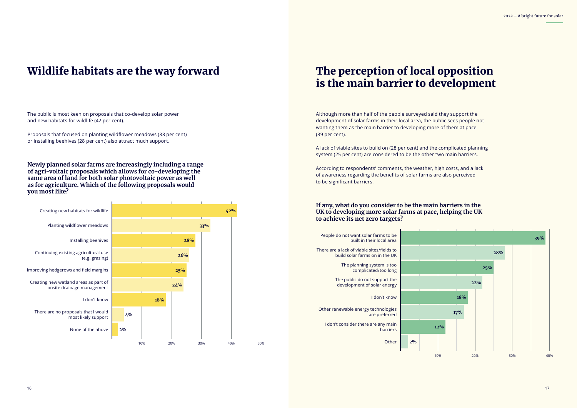# is the main barrier to development

## Wildlife habitats are the way forward The perception of local opposition

#### The public is most keen on proposals that co-develop solar power and new habitats for wildlife (42 per cent).

Proposals that focused on planting wildflower meadows (33 per cent) or installing beehives (28 per cent) also attract much support.

Although more than half of the people surveyed said they support the development of solar farms in their local area, the public sees people not wanting them as the main barrier to developing more of them at pace (39 per cent).

A lack of viable sites to build on (28 per cent) and the complicated planning system (25 per cent) are considered to be the other two main barriers.

According to respondents' comments, the weather, high costs, and a lack of awareness regarding the benefits of solar farms are also perceived to be significant barriers.

**Newly planned solar farms are increasingly including a range of agri-voltaic proposals which allows for co-developing the same area of land for both solar photovoltaic power as well as for agriculture. Which of the following proposals would you most like?**

#### **If any, what do you consider to be the main barriers in the UK to developing more solar farms at pace, helping the UK to achieve its net zero targets?**



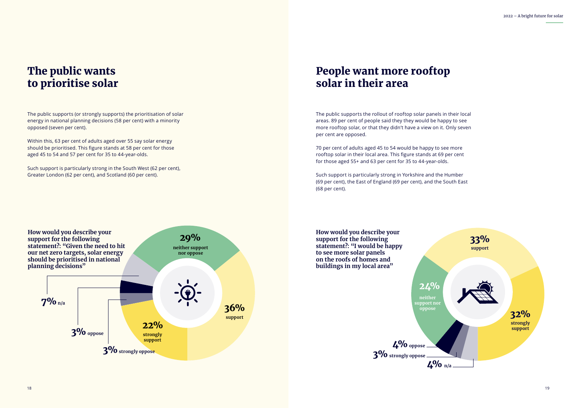

### The public wants to prioritise solar

### People want more rooftop solar in their area

**How would you describe your support for the following statement?: "I would be happy to see more solar panels on the roofs of homes and buildings in my local area"**

The public supports (or strongly supports) the prioritisation of solar energy in national planning decisions (58 per cent) with a minority opposed (seven per cent).

Within this, 63 per cent of adults aged over 55 say solar energy should be prioritised. This figure stands at 58 per cent for those aged 45 to 54 and 57 per cent for 35 to 44-year-olds.

Such support is particularly strong in the South West (62 per cent), Greater London (62 per cent), and Scotland (60 per cent).

#### **How would you describe your support for the following statement?: "Given the need to hit our net zero targets, solar energy should be prioritised in national planning decisions" strongly support neither support nor oppose** 29% 22% **support** 36% 7%**n/a** 3% strongly oppose 3%**oppose**

The public supports the rollout of rooftop solar panels in their local areas. 89 per cent of people said they they would be happy to see more rooftop solar, or that they didn't have a view on it. Only seven per cent are opposed.

70 per cent of adults aged 45 to 54 would be happy to see more rooftop solar in their local area. This figure stands at 69 per cent for those aged 55+ and 63 per cent for 35 to 44-year-olds.

Such support is particularly strong in Yorkshire and the Humber (69 per cent), the East of England (69 per cent), and the South East (68 per cent).

> **neither support nor oppose**

24%



4%**oppose** 3%**strongly oppose**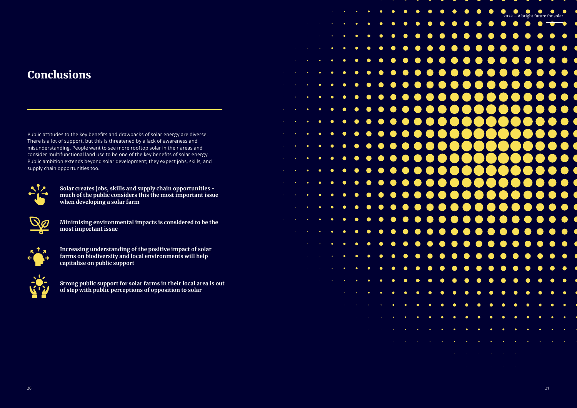

## Conclusions

Public attitudes to the key benefits and drawbacks of solar energy are diverse. There is a lot of support, but this is threatened by a lack of awareness and misunderstanding. People want to see more rooftop solar in their areas and consider multifunctional land use to be one of the key benefits of solar energy. Public ambition extends beyond solar development; they expect jobs, skills, and supply chain opportunities too.



**Solar creates jobs, skills and supply chain opportunities much of the public considers this the most important issue when developing a solar farm**



**Minimising environmental impacts is considered to be the most important issue**



**Increasing understanding of the positive impact of solar farms on biodiversity and local environments will help capitalise on public support**



**Strong public support for solar farms in their local area is out of step with public perceptions of opposition to solar**

|    |                                                           |           |                                                                                                                                    | $\label{eq:2.1} \mathcal{L}_{\mathcal{A}}(\mathcal{A})=\mathcal{L}_{\mathcal{A}}(\mathcal{A})\mathcal{A}(\mathcal{A})=\mathcal{L}_{\mathcal{A}}(\mathcal{A})\mathcal{A}(\mathcal{A})\mathcal{A}(\mathcal{A}).$ |             |                       | $\bullet$                                                                                                                            | $\bullet$ | $\bullet$   | $\bullet$                                                                                                                                                                                                                                                                                                                                                                                                                                                   |                       | $\bullet$ $\bullet$    |
|----|-----------------------------------------------------------|-----------|------------------------------------------------------------------------------------------------------------------------------------|----------------------------------------------------------------------------------------------------------------------------------------------------------------------------------------------------------------|-------------|-----------------------|--------------------------------------------------------------------------------------------------------------------------------------|-----------|-------------|-------------------------------------------------------------------------------------------------------------------------------------------------------------------------------------------------------------------------------------------------------------------------------------------------------------------------------------------------------------------------------------------------------------------------------------------------------------|-----------------------|------------------------|
|    |                                                           |           |                                                                                                                                    | $\label{eq:2} \mathcal{L}_{\mathcal{D}}(\mathcal{L}_{\mathcal{D}}) = \mathcal{L}_{\mathcal{D}}(\mathcal{L}_{\mathcal{D}}) = \mathcal{L}_{\mathcal{D}}(\mathcal{L}_{\mathcal{D}})$                              | $\bullet$ . | $\bullet$             | $\bullet$                                                                                                                            | $\bullet$ | $\bullet$   | $\bullet$                                                                                                                                                                                                                                                                                                                                                                                                                                                   | $\bullet$             | $\bullet$              |
|    |                                                           |           | $\mathcal{L}_{\text{max}}$ , where $\mathcal{L}_{\text{max}}$                                                                      | $\bullet$                                                                                                                                                                                                      | $\bullet$   | $\bullet$             | $\bullet$                                                                                                                            | $\bullet$ | $\bullet$   | $\bullet$                                                                                                                                                                                                                                                                                                                                                                                                                                                   | $\bullet$             | $\bullet$              |
|    | $\mathcal{O}(\mathcal{O}(\log n))$                        |           | $\bullet$                                                                                                                          | $\bullet$                                                                                                                                                                                                      | $\bullet$   | $\bullet$             | $\bullet$                                                                                                                            | $\bullet$ | $\bullet$   | $\bullet$                                                                                                                                                                                                                                                                                                                                                                                                                                                   | $\bullet$             | $\bullet$              |
|    | $\mathcal{L}_{\text{max}}$ , $\mathcal{L}_{\text{max}}$   | $\bullet$ | $\bullet$ .                                                                                                                        | $\bullet$                                                                                                                                                                                                      | $\bullet$   | $\bullet$             | $\bullet$                                                                                                                            | $\bullet$ | $\bullet$   | $\bullet$                                                                                                                                                                                                                                                                                                                                                                                                                                                   | $\bullet$             | $\bullet$              |
|    | $\epsilon_{\rm{eff}}$                                     | $\bullet$ | $\bullet$                                                                                                                          | $\bullet$                                                                                                                                                                                                      | $\bullet$   | $\bullet$             | $\bullet$                                                                                                                            | $\bullet$ | $\bullet$   | $\bullet$                                                                                                                                                                                                                                                                                                                                                                                                                                                   | $\bullet$             |                        |
|    | $\epsilon_{\rm{max}}$                                     | $\bullet$ | $\bullet$                                                                                                                          | $\bullet$                                                                                                                                                                                                      | $\bullet$   | $\bullet$             | $\bullet$                                                                                                                            | $\bullet$ | $\bullet$   | $\bullet$                                                                                                                                                                                                                                                                                                                                                                                                                                                   | $\bullet$             |                        |
|    | Ŷ,                                                        | $\bullet$ | $\bullet$                                                                                                                          | $\bullet$                                                                                                                                                                                                      | $\bullet$   | $\bullet$             | $\bullet$                                                                                                                            | $\bullet$ | $\bullet$   | $\bullet$                                                                                                                                                                                                                                                                                                                                                                                                                                                   |                       | $\bullet$              |
|    | $\bullet$                                                 | $\bullet$ | $\bullet$                                                                                                                          | $\bullet$                                                                                                                                                                                                      | $\bullet$   | $\bullet$             | $\bullet$                                                                                                                            | $\bullet$ | $\bullet$   | $\bullet$                                                                                                                                                                                                                                                                                                                                                                                                                                                   | $\bullet$             | $\bullet$              |
|    | $\bullet$                                                 | $\bullet$ | $\bullet$                                                                                                                          | $\bullet$                                                                                                                                                                                                      | $\bullet$   | $\bullet$             | $\bullet$                                                                                                                            | $\bullet$ | $\bullet$   | $\bullet$                                                                                                                                                                                                                                                                                                                                                                                                                                                   | $\bullet$             | $\bigodot$             |
| ł, | $\bullet$                                                 | $\bullet$ | $\bullet$                                                                                                                          | $\bullet$                                                                                                                                                                                                      | $\bullet$   | $\bullet$             | $\bullet$                                                                                                                            | $\bullet$ | $\bullet$   | $\bullet$                                                                                                                                                                                                                                                                                                                                                                                                                                                   | $\bullet$             | $\bigcirc$             |
| ł, | $\bullet$                                                 | $\bullet$ | $\bullet$                                                                                                                          | $\bullet$                                                                                                                                                                                                      | $\bullet$   | $\bullet$             | $\bullet$                                                                                                                            | $\bullet$ | $\bullet$   | $\bullet$                                                                                                                                                                                                                                                                                                                                                                                                                                                   |                       | $\bullet$              |
| f  | $\bullet$                                                 | $\bullet$ | $\bullet$                                                                                                                          | $\bullet$                                                                                                                                                                                                      | $\bullet$   | $\bullet$             | $\bullet$                                                                                                                            | $\bullet$ | $\bullet$   | $\bullet$                                                                                                                                                                                                                                                                                                                                                                                                                                                   |                       | $\bullet$              |
| ł  | $\bullet$                                                 | $\bullet$ | $\bullet$                                                                                                                          | $\bullet$                                                                                                                                                                                                      | $\bullet$   | $\bullet$             | $\bullet$                                                                                                                            | $\bullet$ | $\bullet$   | $\bullet$                                                                                                                                                                                                                                                                                                                                                                                                                                                   |                       | $\bullet$              |
| ł, | $\bullet$ .                                               | $\bullet$ | $\bullet$                                                                                                                          | $\bullet$                                                                                                                                                                                                      | $\bullet$   | $\bullet$             | $\bullet$                                                                                                                            | $\bullet$ | $\bullet$   | $\bullet$                                                                                                                                                                                                                                                                                                                                                                                                                                                   |                       | $\bullet$              |
|    | $\bullet$ .                                               | $\bullet$ | $\bullet$                                                                                                                          | $\bullet$                                                                                                                                                                                                      | $\bullet$   | $\bullet$             | $\bullet$                                                                                                                            | $\bullet$ | $\bullet$   | $\bullet$                                                                                                                                                                                                                                                                                                                                                                                                                                                   | $\bullet$             | $\bullet$              |
|    | $\mathbf{e}^{(1)}$ and                                    | $\bullet$ | $\bullet$                                                                                                                          | $\bullet$                                                                                                                                                                                                      | $\bullet$   |                       | $\bullet$                                                                                                                            | $\bullet$ | $\bullet$   | $\bullet$ $\bullet$                                                                                                                                                                                                                                                                                                                                                                                                                                         |                       |                        |
|    | ٠                                                         |           |                                                                                                                                    |                                                                                                                                                                                                                |             |                       |                                                                                                                                      |           |             |                                                                                                                                                                                                                                                                                                                                                                                                                                                             |                       |                        |
|    | $\mathcal{L}(\mathcal{A})$ and $\mathcal{L}(\mathcal{A})$ |           | $\bullet$ , and $\bullet$ , and $\bullet$                                                                                          | $\bullet$ .<br><br><br><br><br><br><br><br><br><br><br><br>                                                                                                                                                    | $\bullet$   | $\bullet$             | $\bullet$                                                                                                                            | $\bullet$ |             | $\bullet\hspace{0.4mm}\bullet\hspace{0.4mm}\bullet\hspace{0.4mm}\bullet\hspace{0.4mm}$                                                                                                                                                                                                                                                                                                                                                                      |                       |                        |
|    |                                                           |           | $\mathcal{A}(\mathcal{A})$ and $\mathcal{A}(\mathcal{A})$ and $\mathcal{A}(\mathcal{A})$                                           | $\bullet$ .                                                                                                                                                                                                    | $\bullet$   | $\bullet$             | $\bullet$                                                                                                                            | $\bullet$ |             | $\bullet\quad \bullet$                                                                                                                                                                                                                                                                                                                                                                                                                                      |                       | $\bullet\;\bullet$     |
|    |                                                           |           | $\mathcal{L}(\mathcal{L}^{\mathcal{L}})$ and $\mathcal{L}(\mathcal{L}^{\mathcal{L}})$ and $\mathcal{L}(\mathcal{L}^{\mathcal{L}})$ | $\bullet$ .<br><br><br><br><br><br><br><br><br><br><br><br>                                                                                                                                                    | $\bullet$   | $\bullet$             | $\bullet$                                                                                                                            | $\bullet$ | $\bullet$   | $\bullet$                                                                                                                                                                                                                                                                                                                                                                                                                                                   |                       | $\bullet\quad \bullet$ |
|    |                                                           |           |                                                                                                                                    | $\mathcal{L}_{\text{max}}$ and $\mathcal{L}_{\text{max}}$ and $\mathcal{L}_{\text{max}}$ and $\mathcal{L}_{\text{max}}$                                                                                        | $\bullet$ . | $\bullet$             | $\bullet$                                                                                                                            | $\bullet$ |             |                                                                                                                                                                                                                                                                                                                                                                                                                                                             | $\bullet$             | $\bullet$              |
|    |                                                           |           |                                                                                                                                    | $\mathcal{L}^{\text{max}}_{\text{max}}$ and $\mathcal{L}^{\text{max}}_{\text{max}}$ and $\mathcal{L}^{\text{max}}_{\text{max}}$                                                                                |             | $\bullet$ . $\bullet$ | $\bullet$                                                                                                                            | $\bullet$ | $\bullet$   | $\bullet$                                                                                                                                                                                                                                                                                                                                                                                                                                                   | $\bullet$             | $\bullet$              |
|    |                                                           |           |                                                                                                                                    | $\mathcal{L}_{\mathcal{A}}$ and $\mathcal{L}_{\mathcal{A}}$ are the set of the set of $\mathcal{L}_{\mathcal{A}}$                                                                                              |             | $\bullet$ . $\bullet$ | $\bullet$ .                                                                                                                          | $\bullet$ | $\bullet$   | $\bullet$                                                                                                                                                                                                                                                                                                                                                                                                                                                   | $\bullet$             | $\bullet$              |
|    |                                                           |           |                                                                                                                                    |                                                                                                                                                                                                                |             |                       | $\mathcal{L}^{\mathcal{L}}$ and the set of the set of $\mathcal{L}^{\mathcal{L}}$ . The set of $\mathcal{L}^{\mathcal{L}}$           | $\bullet$ | $\bullet$   | $\bullet$                                                                                                                                                                                                                                                                                                                                                                                                                                                   | $\bullet$             | $\bullet$              |
|    |                                                           |           |                                                                                                                                    |                                                                                                                                                                                                                |             |                       | $\mathcal{L}^{\mathcal{L}}$ and $\mathcal{L}^{\mathcal{L}}$ are the set of the set of $\mathcal{L}^{\mathcal{L}}$                    |           | $\bullet$ . | $\bullet$ .                                                                                                                                                                                                                                                                                                                                                                                                                                                 | $\bullet$             | $\bullet$              |
|    |                                                           |           |                                                                                                                                    |                                                                                                                                                                                                                |             |                       |                                                                                                                                      |           |             | $\mathcal{L}(\mathcal{L}(\mathcal{L}(\mathcal{L}(\mathcal{L}(\mathcal{L}(\mathcal{L}(\mathcal{L}(\mathcal{L}(\mathcal{L}(\mathcal{L}(\mathcal{L}(\mathcal{L}(\mathcal{L}(\mathcal{L}(\mathcal{L}(\mathcal{L}(\mathcal{L}(\mathcal{L}(\mathcal{L}(\mathcal{L}(\mathcal{L}(\mathcal{L}(\mathcal{L}(\mathcal{L}(\mathcal{L}(\mathcal{L}(\mathcal{L}(\mathcal{L}(\mathcal{L}(\mathcal{L}(\mathcal{L}(\mathcal{L}(\mathcal{L}(\mathcal{L}(\mathcal{L}(\mathcal{$ | $\bullet$ . $\bullet$ | $\bullet$              |
|    |                                                           |           |                                                                                                                                    |                                                                                                                                                                                                                |             |                       | $\mathcal{L}_{\mathcal{A}}$ and $\mathcal{L}_{\mathcal{A}}$ are the set of the set of the set of the set of the set of $\mathcal{A}$ |           |             |                                                                                                                                                                                                                                                                                                                                                                                                                                                             |                       |                        |
|    |                                                           |           |                                                                                                                                    |                                                                                                                                                                                                                |             |                       |                                                                                                                                      |           |             |                                                                                                                                                                                                                                                                                                                                                                                                                                                             |                       |                        |